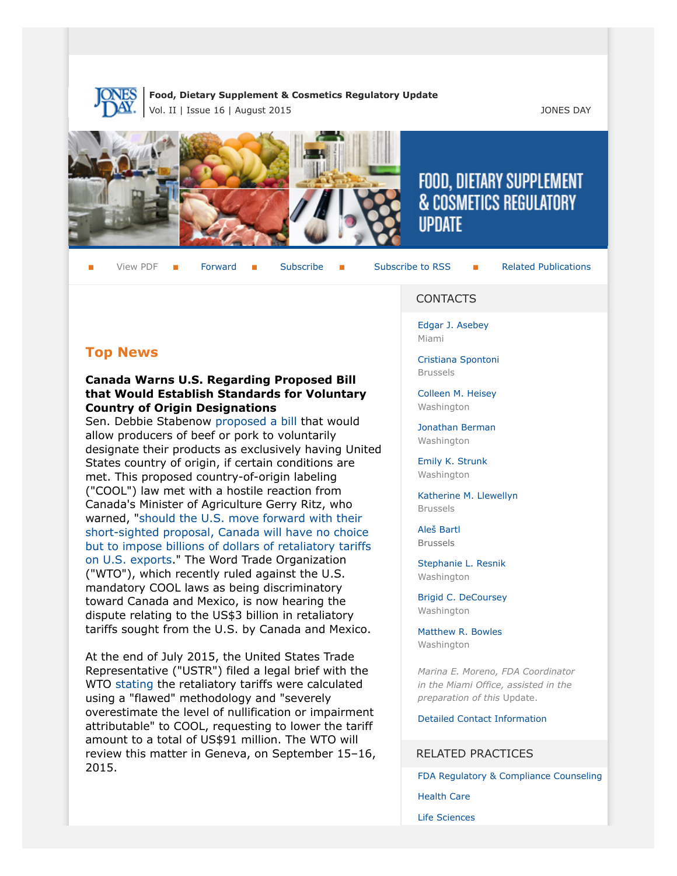

**Food, Dietary Supplement & Cosmetics Regulatory Update** Vol. II | Issue 16 | August 2015 JONES DAY



# FOOD, DIETARY SUPPLEMENT & COSMETICS REGULATORY **UPDATE**

View PDF  $\blacksquare$  [Forward](http://thewritestuff.jonesday.com/cff/78f1c2d41dfb3282472122d55ecea1c9b64f973d/)  $\blacksquare$  [Subscribe](http://www.jonesday.com/newsknowledge/publications.aspx)  $\blacksquare$  [Subscribe to RSS](http://www.jonesday.com/newsknowledge/rss.aspx)  $\blacksquare$  [Related Publications](http://www.jonesday.com/experiencepractices/servicedetail.aspx?serviceid=593cb647-a5c4-49c3-9086-fedc34b24e1d§ion=Publications)

# **Top News**

#### **Canada Warns U.S. Regarding Proposed Bill that Would Establish Standards for Voluntary Country of Origin Designations**

Sen. Debbie Stabenow [proposed a bill](http://www.ag.senate.gov/newsroom/press/release/in-advance-of-hearing-ranking-member-stabenow-releases-proposal-on-country-of-origin-labeling-) that would allow producers of beef or pork to voluntarily designate their products as exclusively having United States country of origin, if certain conditions are met. This proposed country-of-origin labeling ("COOL") law met with a hostile reaction from Canada's Minister of Agriculture Gerry Ritz, who warned, "[should the U.S. move forward with their](http://www.globalmeatnews.com/Safety-Legislation/Canada-rejects-US-origin-label-plans/?utm_source=newsletter_daily&utm_medium=email&utm_campaign=07-Aug-2015&c=9b0%2FNwNWp7EeW7jO01M%2BqWxoAja%2Fn9hl&p2=) [short-sighted proposal, Canada will have no choice](http://www.globalmeatnews.com/Safety-Legislation/Canada-rejects-US-origin-label-plans/?utm_source=newsletter_daily&utm_medium=email&utm_campaign=07-Aug-2015&c=9b0%2FNwNWp7EeW7jO01M%2BqWxoAja%2Fn9hl&p2=) [but to impose billions of dollars of retaliatory tariffs](http://www.globalmeatnews.com/Safety-Legislation/Canada-rejects-US-origin-label-plans/?utm_source=newsletter_daily&utm_medium=email&utm_campaign=07-Aug-2015&c=9b0%2FNwNWp7EeW7jO01M%2BqWxoAja%2Fn9hl&p2=) [on U.S. exports.](http://www.globalmeatnews.com/Safety-Legislation/Canada-rejects-US-origin-label-plans/?utm_source=newsletter_daily&utm_medium=email&utm_campaign=07-Aug-2015&c=9b0%2FNwNWp7EeW7jO01M%2BqWxoAja%2Fn9hl&p2=)" The Word Trade Organization ("WTO"), which recently ruled against the U.S. mandatory COOL laws as being discriminatory toward Canada and Mexico, is now hearing the dispute relating to the US\$3 billion in retaliatory tariffs sought from the U.S. by Canada and Mexico.

At the end of July 2015, the United States Trade Representative ("USTR") filed a legal brief with the WTO [stating](http://www.foodsafetynews.com/2015/08/ustr-tells-wto-that-cool-damages-are-much-lower-than-estimated/) the retaliatory tariffs were calculated using a "flawed" methodology and "severely overestimate the level of nullification or impairment attributable" to COOL, requesting to lower the tariff amount to a total of US\$91 million. The WTO will review this matter in Geneva, on September 15–16, 2015.

#### CONTACTS

[Edgar J. Asebey](http://www.jonesday.com/easebey) Miami

[Cristiana Spontoni](http://www.jonesday.com/cspontoni) Brussels

[Colleen M. Heisey](http://www.jonesday.com/cmheisey) Washington

[Jonathan Berman](http://www.jonesday.com/jberman) Washington

[Emily K. Strunk](http://www.jonesday.com/estrunk) Washington

[Katherine M. Llewellyn](http://www.jonesday.com/kllewellyn) Brussels

[Aleš Bartl](http://www.jonesday.com/abartl/) Brussels

[Stephanie L. Resnik](http://www.jonesday.com/sresnik) Washington

[Brigid C. DeCoursey](http://www.jonesday.com/bdecoursey) Washington

[Matthew R. Bowles](http://www.jonesday.com/mbowles) Washington

*Marina E. Moreno, FDA Coordinator in the Miami Office, assisted in the preparation of this* Update.

[Detailed Contact Information](#page-7-0)

#### RELATED PRACTICES

[FDA Regulatory & Compliance Counseling](http://www.jonesday.com/fdaregulatoryandcompliancecounseling/)

[Health Care](http://www.jonesday.com/Health-Care-Practices)

[Life Sciences](http://www.jonesday.com/lifesciences/)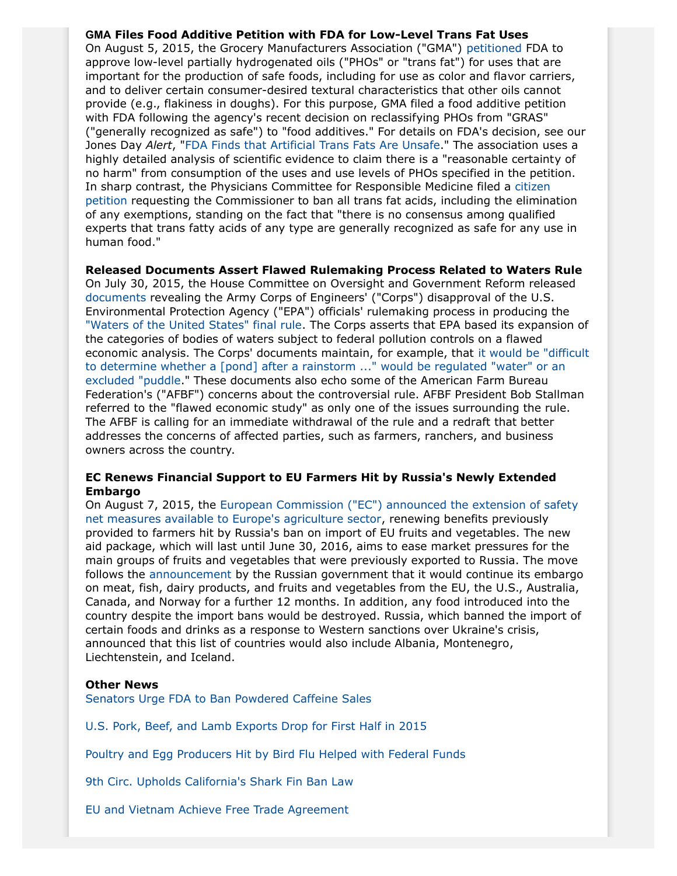**GMA Files Food Additive Petition with FDA for Low-Level Trans Fat Uses** On August 5, 2015, the Grocery Manufacturers Association ("GMA") [petitioned](http://www.gmaonline.org/news-events/newsroom/gma-petitions-fda-to-approve-low-level-uses-of-partially-hydrogenated-oils/) FDA to approve low-level partially hydrogenated oils ("PHOs" or "trans fat") for uses that are important for the production of safe foods, including for use as color and flavor carriers, and to deliver certain consumer-desired textural characteristics that other oils cannot provide (e.g., flakiness in doughs). For this purpose, GMA filed a food additive petition with FDA following the agency's recent decision on reclassifying PHOs from "GRAS" ("generally recognized as safe") to "food additives." For details on FDA's decision, see our Jones Day *Alert*, ["FDA Finds that Artificial Trans Fats Are Unsafe](http://www.jonesday.com/FDA-Finds-that-Artificial-Trans-Fats-Are-Unsafe-06-17-2015)." The association uses a highly detailed analysis of scientific evidence to claim there is a "reasonable certainty of no harm" from consumption of the uses and use levels of PHOs specified in the petition. In sharp contrast, the Physicians Committee for Responsible Medicine filed a [citizen](http://www.regulations.gov/#!documentDetail;D=FDA-2015-P-3009-0001) [petition](http://www.regulations.gov/#!documentDetail;D=FDA-2015-P-3009-0001) requesting the Commissioner to ban all trans fat acids, including the elimination of any exemptions, standing on the fact that "there is no consensus among qualified experts that trans fatty acids of any type are generally recognized as safe for any use in human food."

**Released Documents Assert Flawed Rulemaking Process Related to Waters Rule** On July 30, 2015, the House Committee on Oversight and Government Reform released [documents](https://oversight.house.gov/wp-content/uploads/2015/07/Army-Corps-Memoranda.zip) revealing the Army Corps of Engineers' ("Corps") disapproval of the U.S. Environmental Protection Agency ("EPA") officials' rulemaking process in producing the ["Waters of the United States" final rule](http://www2.epa.gov/sites/production/files/2015-06/documents/epa-hq-ow-2011-0880-20862.pdf). The Corps asserts that EPA based its expansion of the categories of bodies of waters subject to federal pollution controls on a flawed economic analysis. The Corps' documents maintain, for example, that [it would be "difficult](http://www.fb.org/newsroom/news_article/336/) [to determine whether a \[pond\] after a rainstorm ..." would be regulated "water" or an](http://www.fb.org/newsroom/news_article/336/) [excluded "puddle.](http://www.fb.org/newsroom/news_article/336/)" These documents also echo some of the American Farm Bureau Federation's ("AFBF") concerns about the controversial rule. AFBF President Bob Stallman referred to the "flawed economic study" as only one of the issues surrounding the rule. The AFBF is calling for an immediate withdrawal of the rule and a redraft that better addresses the concerns of affected parties, such as farmers, ranchers, and business owners across the country.

#### **EC Renews Financial Support to EU Farmers Hit by Russia's Newly Extended Embargo**

On August 7, 2015, the [European Commission \("EC"\) announced the extension of safety](http://ec.europa.eu/agriculture/newsroom/219_en.htm) [net measures available to Europe's agriculture sector](http://ec.europa.eu/agriculture/newsroom/219_en.htm), renewing benefits previously provided to farmers hit by Russia's ban on import of EU fruits and vegetables. The new aid package, which will last until June 30, 2016, aims to ease market pressures for the main groups of fruits and vegetables that were previously exported to Russia. The move follows the [announcement](http://www.reuters.com/article/2015/08/13/us-russia-crisis-food-idUSKCN0QI18R20150813) by the Russian government that it would continue its embargo on meat, fish, dairy products, and fruits and vegetables from the EU, the U.S., Australia, Canada, and Norway for a further 12 months. In addition, any food introduced into the country despite the import bans would be destroyed. Russia, which banned the import of certain foods and drinks as a response to Western sanctions over Ukraine's crisis, announced that this list of countries would also include Albania, Montenegro, Liechtenstein, and Iceland.

#### **Other News**

[Senators Urge FDA to Ban Powdered Caffeine Sales](http://www.brown.senate.gov/newsroom/press/release/following-reports-of-new-delivery-mechanisms-for-powdered-caffeine-brown-and-colleagues-urge-us-food-and-drug-administration-to-ban-retail-sale-of-deadly-product)

[U.S. Pork, Beef, and Lamb Exports Drop for First Half in 2015](http://www.ams.usda.gov/mnreports/lsbinternational.pdf)

[Poultry and Egg Producers Hit by Bird Flu Helped with Federal Funds](http://www.globalmeatnews.com/Safety-Legislation/Federal-funds-help-rebuild-US-poultry-stocks/?utm_source=newsletter_daily&utm_medium=email&utm_campaign=31-Jul-2015&c=9b0%2FNwNWp7FKDUk4GiAnqw6zEDBv%2FVNl&p2=)

[9th Circ. Upholds California's Shark Fin Ban Law](http://www.nytimes.com/aponline/2015/07/27/us/ap-us-shark-fin-ban.html?_r=0)

[EU and Vietnam Achieve Free Trade Agreement](http://europa.eu/rapid/press-release_MEMO-15-5468_en.htm)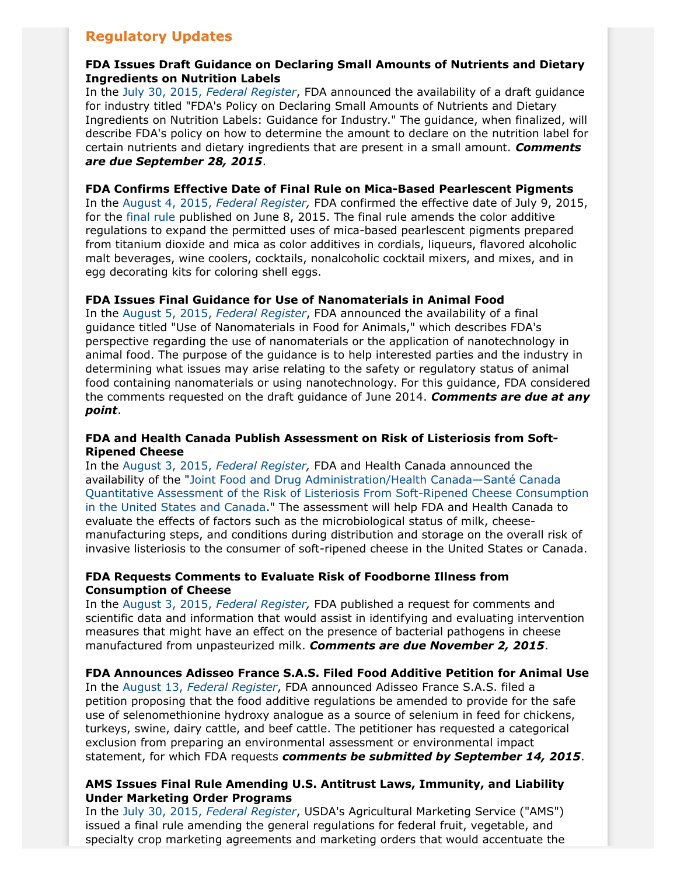# **Regulatory Updates**

## **FDA Issues Draft Guidance on Declaring Small Amounts of Nutrients and Dietary Ingredients on Nutrition Labels**

In the July 30, 2015, *[Federal Register](http://www.gpo.gov/fdsys/pkg/FR-2015-07-30/pdf/2015-18655.pdf)*, FDA announced the availability of a draft guidance for industry titled "FDA's Policy on Declaring Small Amounts of Nutrients and Dietary Ingredients on Nutrition Labels: Guidance for Industry." The guidance, when finalized, will describe FDA's policy on how to determine the amount to declare on the nutrition label for certain nutrients and dietary ingredients that are present in a small amount. *Comments are due September 28, 2015*.

#### **FDA Confirms Effective Date of Final Rule on Mica-Based Pearlescent Pigments**

In the August 4, 2015, *[Federal Register](http://www.gpo.gov/fdsys/pkg/FR-2015-08-04/pdf/2015-18996.pdf),* FDA confirmed the effective date of July 9, 2015, for the [final rule](http://www.gpo.gov/fdsys/pkg/FR-2015-06-08/pdf/2015-13834.pdf) published on June 8, 2015. The final rule amends the color additive regulations to expand the permitted uses of mica-based pearlescent pigments prepared from titanium dioxide and mica as color additives in cordials, liqueurs, flavored alcoholic malt beverages, wine coolers, cocktails, nonalcoholic cocktail mixers, and mixes, and in egg decorating kits for coloring shell eggs.

## **FDA Issues Final Guidance for Use of Nanomaterials in Animal Food**

In the August 5, 2015, *[Federal Register](http://www.gpo.gov/fdsys/pkg/FR-2015-08-05/pdf/2015-19179.pdf)*, FDA announced the availability of a final guidance titled "Use of Nanomaterials in Food for Animals," which describes FDA's perspective regarding the use of nanomaterials or the application of nanotechnology in animal food. The purpose of the guidance is to help interested parties and the industry in determining what issues may arise relating to the safety or regulatory status of animal food containing nanomaterials or using nanotechnology. For this guidance, FDA considered the comments requested on the draft guidance of June 2014. *Comments are due at any point*.

#### **FDA and Health Canada Publish Assessment on Risk of Listeriosis from Soft-Ripened Cheese**

In the August 3, 2015, *[Federal Register](http://www.gpo.gov/fdsys/pkg/FR-2015-08-03/pdf/2015-18960.pdf),* FDA and Health Canada announced the availability of the "[Joint Food and Drug Administration/Health Canada—Santé Canada](http://www.fda.gov/downloads/food/foodscienceresearch/ucm338617.pdf) [Quantitative Assessment of the Risk of Listeriosis From Soft-Ripened Cheese Consumption](http://www.fda.gov/downloads/food/foodscienceresearch/ucm338617.pdf) [in the United States and Canada.](http://www.fda.gov/downloads/food/foodscienceresearch/ucm338617.pdf)" The assessment will help FDA and Health Canada to evaluate the effects of factors such as the microbiological status of milk, cheesemanufacturing steps, and conditions during distribution and storage on the overall risk of invasive listeriosis to the consumer of soft-ripened cheese in the United States or Canada.

## **FDA Requests Comments to Evaluate Risk of Foodborne Illness from Consumption of Cheese**

In the August 3, 2015, *[Federal Register](http://www.gpo.gov/fdsys/pkg/FR-2015-08-03/pdf/2015-18972.pdf),* FDA published a request for comments and scientific data and information that would assist in identifying and evaluating intervention measures that might have an effect on the presence of bacterial pathogens in cheese manufactured from unpasteurized milk. *Comments are due November 2, 2015*.

**FDA Announces Adisseo France S.A.S. Filed Food Additive Petition for Animal Use** In the August 13, *[Federal Register](http://www.gpo.gov/fdsys/pkg/FR-2015-08-13/pdf/2015-19884.pdf)*, FDA announced Adisseo France S.A.S. filed a petition proposing that the food additive regulations be amended to provide for the safe use of selenomethionine hydroxy analogue as a source of selenium in feed for chickens, turkeys, swine, dairy cattle, and beef cattle. The petitioner has requested a categorical exclusion from preparing an environmental assessment or environmental impact statement, for which FDA requests *comments be submitted by September 14, 2015*.

## **AMS Issues Final Rule Amending U.S. Antitrust Laws, Immunity, and Liability Under Marketing Order Programs**

In the July 30, 2015, *[Federal Register](http://www.gpo.gov/fdsys/pkg/FR-2015-07-30/pdf/2015-18700.pdf)*, USDA's Agricultural Marketing Service ("AMS") issued a final rule amending the general regulations for federal fruit, vegetable, and specialty crop marketing agreements and marketing orders that would accentuate the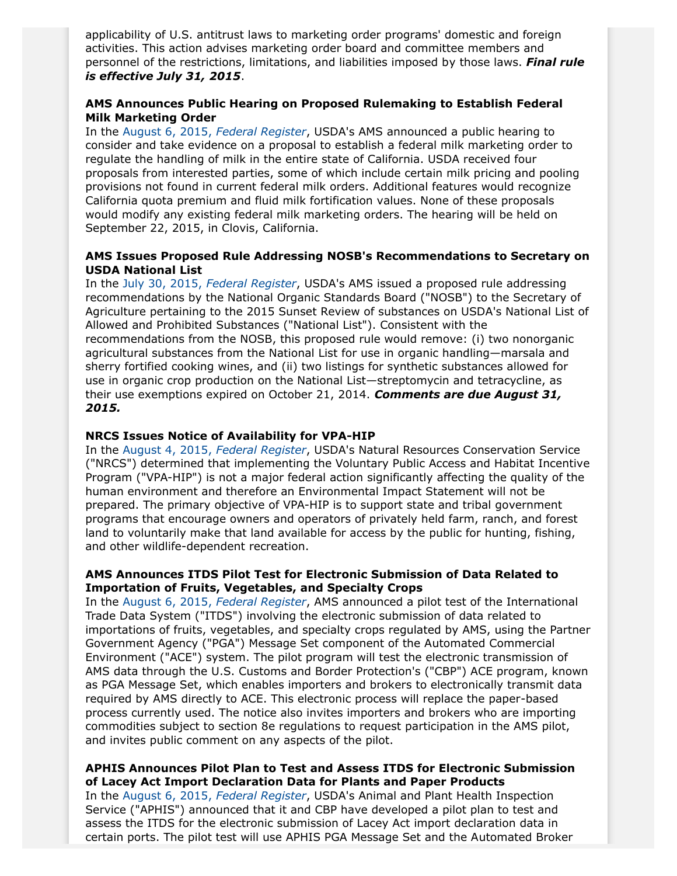applicability of U.S. antitrust laws to marketing order programs' domestic and foreign activities. This action advises marketing order board and committee members and personnel of the restrictions, limitations, and liabilities imposed by those laws. *Final rule is effective July 31, 2015*.

# **AMS Announces Public Hearing on Proposed Rulemaking to Establish Federal Milk Marketing Order**

In the August 6, 2015, *[Federal Register](http://www.gpo.gov/fdsys/pkg/FR-2015-08-06/pdf/2015-18704.pdf)*, USDA's AMS announced a public hearing to consider and take evidence on a proposal to establish a federal milk marketing order to regulate the handling of milk in the entire state of California. USDA received four proposals from interested parties, some of which include certain milk pricing and pooling provisions not found in current federal milk orders. Additional features would recognize California quota premium and fluid milk fortification values. None of these proposals would modify any existing federal milk marketing orders. The hearing will be held on September 22, 2015, in Clovis, California.

#### **AMS Issues Proposed Rule Addressing NOSB's Recommendations to Secretary on USDA National List**

In the July 30, 2015, *[Federal Register](http://www.gpo.gov/fdsys/pkg/FR-2015-07-30/pdf/2015-18699.pdf)*, USDA's AMS issued a proposed rule addressing recommendations by the National Organic Standards Board ("NOSB") to the Secretary of Agriculture pertaining to the 2015 Sunset Review of substances on USDA's National List of Allowed and Prohibited Substances ("National List"). Consistent with the recommendations from the NOSB, this proposed rule would remove: (i) two nonorganic agricultural substances from the National List for use in organic handling—marsala and sherry fortified cooking wines, and (ii) two listings for synthetic substances allowed for use in organic crop production on the National List—streptomycin and tetracycline, as their use exemptions expired on October 21, 2014. *Comments are due August 31, 2015.*

#### **NRCS Issues Notice of Availability for VPA-HIP**

In the August 4, 2015, *[Federal Register](http://www.gpo.gov/fdsys/pkg/FR-2015-08-04/pdf/2015-19036.pdf)*, USDA's Natural Resources Conservation Service ("NRCS") determined that implementing the Voluntary Public Access and Habitat Incentive Program ("VPA-HIP") is not a major federal action significantly affecting the quality of the human environment and therefore an Environmental Impact Statement will not be prepared. The primary objective of VPA-HIP is to support state and tribal government programs that encourage owners and operators of privately held farm, ranch, and forest land to voluntarily make that land available for access by the public for hunting, fishing, and other wildlife-dependent recreation.

#### **AMS Announces ITDS Pilot Test for Electronic Submission of Data Related to Importation of Fruits, Vegetables, and Specialty Crops**

In the August 6, 2015, *[Federal Register](http://www.gpo.gov/fdsys/pkg/FR-2015-08-06/pdf/2015-19326.pdf)*, AMS announced a pilot test of the International Trade Data System ("ITDS") involving the electronic submission of data related to importations of fruits, vegetables, and specialty crops regulated by AMS, using the Partner Government Agency ("PGA") Message Set component of the Automated Commercial Environment ("ACE") system. The pilot program will test the electronic transmission of AMS data through the U.S. Customs and Border Protection's ("CBP") ACE program, known as PGA Message Set, which enables importers and brokers to electronically transmit data required by AMS directly to ACE. This electronic process will replace the paper-based process currently used. The notice also invites importers and brokers who are importing commodities subject to section 8e regulations to request participation in the AMS pilot, and invites public comment on any aspects of the pilot.

#### **APHIS Announces Pilot Plan to Test and Assess ITDS for Electronic Submission of Lacey Act Import Declaration Data for Plants and Paper Products**

In the August 6, 2015, *[Federal Register](http://www.gpo.gov/fdsys/pkg/FR-2015-08-06/pdf/2015-19343.pdf)*, USDA's Animal and Plant Health Inspection Service ("APHIS") announced that it and CBP have developed a pilot plan to test and assess the ITDS for the electronic submission of Lacey Act import declaration data in certain ports. The pilot test will use APHIS PGA Message Set and the Automated Broker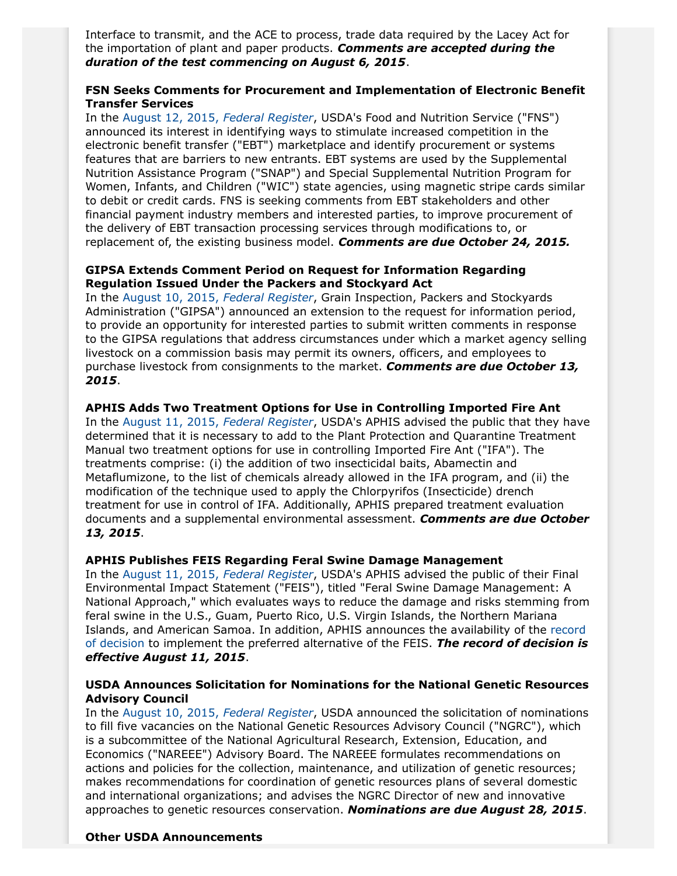Interface to transmit, and the ACE to process, trade data required by the Lacey Act for the importation of plant and paper products. *Comments are accepted during the duration of the test commencing on August 6, 2015*.

#### **FSN Seeks Comments for Procurement and Implementation of Electronic Benefit Transfer Services**

In the [August 12, 2015,](http://www.gpo.gov/fdsys/pkg/FR-2015-08-12/pdf/2015-19794.pdf) *Federal Register*, USDA's Food and Nutrition Service ("FNS") announced its interest in identifying ways to stimulate increased competition in the electronic benefit transfer ("EBT") marketplace and identify procurement or systems features that are barriers to new entrants. EBT systems are used by the Supplemental Nutrition Assistance Program ("SNAP") and Special Supplemental Nutrition Program for Women, Infants, and Children ("WIC") state agencies, using magnetic stripe cards similar to debit or credit cards. FNS is seeking comments from EBT stakeholders and other financial payment industry members and interested parties, to improve procurement of the delivery of EBT transaction processing services through modifications to, or replacement of, the existing business model. *Comments are due October 24, 2015.*

#### **GIPSA Extends Comment Period on Request for Information Regarding Regulation Issued Under the Packers and Stockyard Act**

In the [August 10, 2015,](http://www.gpo.gov/fdsys/pkg/FR-2015-08-10/pdf/2015-19528.pdf) *Federal Register*, Grain Inspection, Packers and Stockyards Administration ("GIPSA") announced an extension to the request for information period, to provide an opportunity for interested parties to submit written comments in response to the GIPSA regulations that address circumstances under which a market agency selling livestock on a commission basis may permit its owners, officers, and employees to purchase livestock from consignments to the market. *Comments are due October 13, 2015*.

#### **APHIS Adds Two Treatment Options for Use in Controlling Imported Fire Ant**

In the [August 11, 2015,](http://www.gpo.gov/fdsys/pkg/FR-2015-08-11/pdf/2015-19700.pdf) *Federal Register*, USDA's APHIS advised the public that they have determined that it is necessary to add to the Plant Protection and Quarantine Treatment Manual two treatment options for use in controlling Imported Fire Ant ("IFA"). The treatments comprise: (i) the addition of two insecticidal baits, Abamectin and Metaflumizone, to the list of chemicals already allowed in the IFA program, and (ii) the modification of the technique used to apply the Chlorpyrifos (Insecticide) drench treatment for use in control of IFA. Additionally, APHIS prepared treatment evaluation documents and a supplemental environmental assessment. *Comments are due October 13, 2015*.

#### **APHIS Publishes FEIS Regarding Feral Swine Damage Management**

In the [August 11, 2015,](http://www.gpo.gov/fdsys/pkg/FR-2015-08-11/pdf/2015-19699.pdf) *Federal Register*, USDA's APHIS advised the public of their Final Environmental Impact Statement ("FEIS"), titled "Feral Swine Damage Management: A National Approach," which evaluates ways to reduce the damage and risks stemming from feral swine in the U.S., Guam, Puerto Rico, U.S. Virgin Islands, the Northern Mariana Islands, and American Samoa. In addition, APHIS announces the availability of the [record](http://www.aphis.usda.gov/wps/portal/aphis/ourfocus/wildlifedamage?1dmy&urile=wcm%3apath%3a%2Faphis_content_library%2Fsa_our_focus%2Fsa_wildlife_damage%2Fsa_operational_activities%2Fsa_feral_swine%2Fct_eis) [of decision](http://www.aphis.usda.gov/wps/portal/aphis/ourfocus/wildlifedamage?1dmy&urile=wcm%3apath%3a%2Faphis_content_library%2Fsa_our_focus%2Fsa_wildlife_damage%2Fsa_operational_activities%2Fsa_feral_swine%2Fct_eis) to implement the preferred alternative of the FEIS. *The record of decision is effective August 11, 2015*.

#### **USDA Announces Solicitation for Nominations for the National Genetic Resources Advisory Council**

In the [August 10, 2015,](http://www.gpo.gov/fdsys/pkg/FR-2015-08-10/pdf/2015-19573.pdf) *Federal Register*, USDA announced the solicitation of nominations to fill five vacancies on the National Genetic Resources Advisory Council ("NGRC"), which is a subcommittee of the National Agricultural Research, Extension, Education, and Economics ("NAREEE") Advisory Board. The NAREEE formulates recommendations on actions and policies for the collection, maintenance, and utilization of genetic resources; makes recommendations for coordination of genetic resources plans of several domestic and international organizations; and advises the NGRC Director of new and innovative approaches to genetic resources conservation. *Nominations are due August 28, 2015*.

#### **Other USDA Announcements**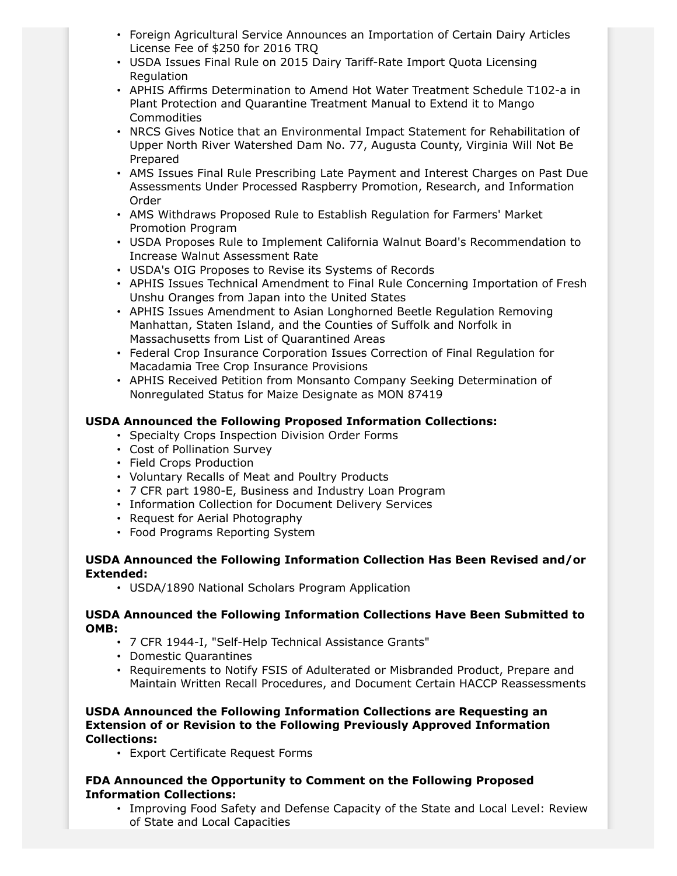- Foreign Agricultural Service Announces an Importation of Certain Dairy Articles License Fee of \$250 for 2016 TRQ
- USDA Issues Final Rule on 2015 Dairy Tariff-Rate Import Quota Licensing Regulation
- APHIS Affirms Determination to Amend Hot Water Treatment Schedule T102-a in Plant Protection and Quarantine Treatment Manual to Extend it to Mango Commodities
- NRCS Gives Notice that an Environmental Impact Statement for Rehabilitation of Upper North River Watershed Dam No. 77, Augusta County, Virginia Will Not Be Prepared
- AMS Issues Final Rule Prescribing Late Payment and Interest Charges on Past Due Assessments Under Processed Raspberry Promotion, Research, and Information Order
- AMS Withdraws Proposed Rule to Establish Regulation for Farmers' Market Promotion Program
- USDA Proposes Rule to Implement California Walnut Board's Recommendation to Increase Walnut Assessment Rate
- USDA's OIG Proposes to Revise its Systems of Records
- APHIS Issues Technical Amendment to Final Rule Concerning Importation of Fresh Unshu Oranges from Japan into the United States
- APHIS Issues Amendment to Asian Longhorned Beetle Regulation Removing Manhattan, Staten Island, and the Counties of Suffolk and Norfolk in Massachusetts from List of Quarantined Areas
- Federal Crop Insurance Corporation Issues Correction of Final Regulation for Macadamia Tree Crop Insurance Provisions
- APHIS Received Petition from Monsanto Company Seeking Determination of Nonregulated Status for Maize Designate as MON 87419

# **USDA Announced the Following Proposed Information Collections:**

- Specialty Crops Inspection Division Order Forms
- Cost of Pollination Survey
- Field Crops Production
- Voluntary Recalls of Meat and Poultry Products
- 7 CFR part 1980-E, Business and Industry Loan Program
- Information Collection for Document Delivery Services
- Request for Aerial Photography
- Food Programs Reporting System

## **USDA Announced the Following Information Collection Has Been Revised and/or Extended:**

• USDA/1890 National Scholars Program Application

## **USDA Announced the Following Information Collections Have Been Submitted to OMB:**

- 7 CFR 1944-I, "Self-Help Technical Assistance Grants"
- Domestic Quarantines
- Requirements to Notify FSIS of Adulterated or Misbranded Product, Prepare and Maintain Written Recall Procedures, and Document Certain HACCP Reassessments

#### **USDA Announced the Following Information Collections are Requesting an Extension of or Revision to the Following Previously Approved Information Collections:**

• Export Certificate Request Forms

## **FDA Announced the Opportunity to Comment on the Following Proposed Information Collections:**

• Improving Food Safety and Defense Capacity of the State and Local Level: Review of State and Local Capacities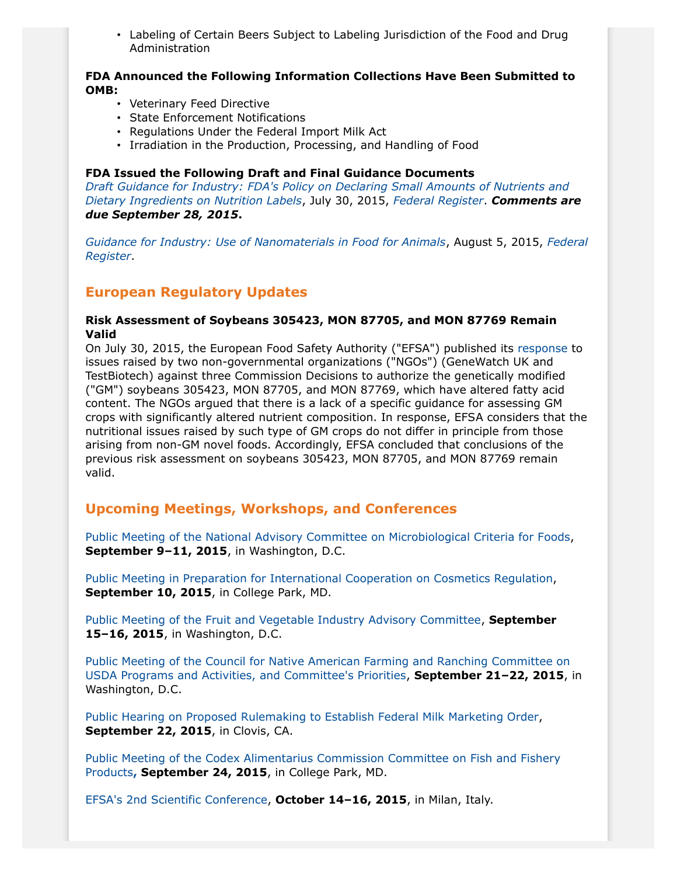• Labeling of Certain Beers Subject to Labeling Jurisdiction of the Food and Drug Administration

#### **FDA Announced the Following Information Collections Have Been Submitted to OMB:**

- Veterinary Feed Directive
- State Enforcement Notifications
- Regulations Under the Federal Import Milk Act
- Irradiation in the Production, Processing, and Handling of Food

#### **FDA Issued the Following Draft and Final Guidance Documents**

*[Draft Guidance for Industry: FDA's Policy on Declaring Small Amounts of Nutrients and](http://links.govdelivery.com/track?type=click&enid=ZWFzPTEmbWFpbGluZ2lkPTIwMTUwNzMwLjQ3Njk3MDYxJm1lc3NhZ2VpZD1NREItUFJELUJVTC0yMDE1MDczMC40NzY5NzA2MSZkYXRhYmFzZWlkPTEwMDEmc2VyaWFsPTE3MTY2NzIwJmVtYWlsaWQ9bW1vcmVub0Bqb25lc2RheS5jb20mdXNlcmlkPW1tb3Jlbm9Aam9uZXNkYXkuY29tJmZsPSZleHRyYT1NdWx0aXZhcmlhdGVJZD0mJiY=&&&103&&&http://www.fda.gov/Food/GuidanceRegulation/GuidanceDocumentsRegulatoryInformation/ucm456062.htm?source=govdelivery&utm_medium=email&utm_source=govdelivery) [Dietary Ingredients on Nutrition Labels](http://links.govdelivery.com/track?type=click&enid=ZWFzPTEmbWFpbGluZ2lkPTIwMTUwNzMwLjQ3Njk3MDYxJm1lc3NhZ2VpZD1NREItUFJELUJVTC0yMDE1MDczMC40NzY5NzA2MSZkYXRhYmFzZWlkPTEwMDEmc2VyaWFsPTE3MTY2NzIwJmVtYWlsaWQ9bW1vcmVub0Bqb25lc2RheS5jb20mdXNlcmlkPW1tb3Jlbm9Aam9uZXNkYXkuY29tJmZsPSZleHRyYT1NdWx0aXZhcmlhdGVJZD0mJiY=&&&103&&&http://www.fda.gov/Food/GuidanceRegulation/GuidanceDocumentsRegulatoryInformation/ucm456062.htm?source=govdelivery&utm_medium=email&utm_source=govdelivery)*, July 30, 2015, *[Federal Register](http://www.gpo.gov/fdsys/pkg/FR-2015-07-30/pdf/2015-18655.pdf)*. *Comments are due September 28, 2015***.**

*[Guidance for Industry: Use of Nanomaterials in Food for Animals](http://www.fda.gov/ucm/groups/fdagov-public/@fdagov-av-gen/documents/document/ucm401508.pdf)*, August 5, 2015, *[Federal](http://www.gpo.gov/fdsys/pkg/FR-2015-08-05/pdf/2015-19179.pdf) [Register](http://www.gpo.gov/fdsys/pkg/FR-2015-08-05/pdf/2015-19179.pdf)*.

# **European Regulatory Updates**

#### **Risk Assessment of Soybeans 305423, MON 87705, and MON 87769 Remain Valid**

On July 30, 2015, the European Food Safety Authority ("EFSA") published its [response](http://www.efsa.europa.eu/en/supporting/pub/862e) to issues raised by two non-governmental organizations ("NGOs") (GeneWatch UK and TestBiotech) against three Commission Decisions to authorize the genetically modified ("GM") soybeans 305423, MON 87705, and MON 87769, which have altered fatty acid content. The NGOs argued that there is a lack of a specific guidance for assessing GM crops with significantly altered nutrient composition. In response, EFSA considers that the nutritional issues raised by such type of GM crops do not differ in principle from those arising from non-GM novel foods. Accordingly, EFSA concluded that conclusions of the previous risk assessment on soybeans 305423, MON 87705, and MON 87769 remain valid.

# **Upcoming Meetings, Workshops, and Conferences**

[Public Meeting of the National Advisory Committee on Microbiological Criteria for Foods,](http://www.gpo.gov/fdsys/pkg/FR-2015-08-12/pdf/2015-19748.pdf) **September 9–11, 2015**, in Washington, D.C.

[Public Meeting in Preparation for International Cooperation on Cosmetics Regulation](https://s3.amazonaws.com/public-inspection.federalregister.gov/2015-17248.pdf), **September 10, 2015**, in College Park, MD.

[Public Meeting of the Fruit and Vegetable Industry Advisory Committee](http://www.gpo.gov/fdsys/pkg/FR-2015-08-13/pdf/2015-19927.pdf), **September 15–16, 2015**, in Washington, D.C.

[Public Meeting of the Council for Native American Farming and Ranching Committee on](http://www.gpo.gov/fdsys/pkg/FR-2015-08-06/pdf/2015-19276.pdf) [USDA Programs and Activities, and Committee's Priorities,](http://www.gpo.gov/fdsys/pkg/FR-2015-08-06/pdf/2015-19276.pdf) **September 21–22, 2015**, in Washington, D.C.

[Public Hearing on Proposed Rulemaking to Establish Federal Milk Marketing Order](http://www.gpo.gov/fdsys/pkg/FR-2015-08-06/pdf/2015-18704.pdf), **September 22, 2015**, in Clovis, CA.

[Public Meeting of the Codex Alimentarius Commission Committee on Fish and Fishery](http://www.gpo.gov/fdsys/pkg/FR-2015-07-30/pdf/2015-18629.pdf) [Products](http://www.gpo.gov/fdsys/pkg/FR-2015-07-30/pdf/2015-18629.pdf)**, September 24, 2015**, in College Park, MD.

[EFSA's 2nd Scientific Conference](http://www.efsa.europa.eu/en/events/event/151014.htm), **October 14–16, 2015**, in Milan, Italy.